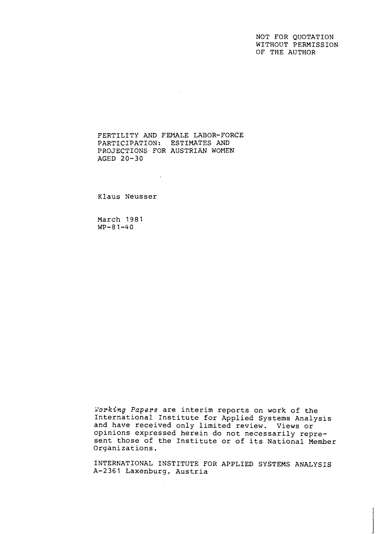NOT FOR QUOTATION WITHOUT PERMISSION OF THE AUTHOR

FERTILITY AND FEMALE LABOR-FORCE PARTICIPATION: ESTIMATES AND PROJECTIONS FOR AUSTRIAN WOMEN AGED 20-30

 $\sim$  .

Klaus Neusser

March 1981  $WP-81-40$ 

*Korking* Papers are interim reports on work of the International Institute for Applied Systems Analysis and have received only limited review. Views or opinions expressed herein do not necessarily represent those of the Institute or of its National Member Organizations.

INTERNATIONAL INSTITUTE FOR APPLIED SYSTEMS ANALYSIS A-2361 Laxenburg, Austria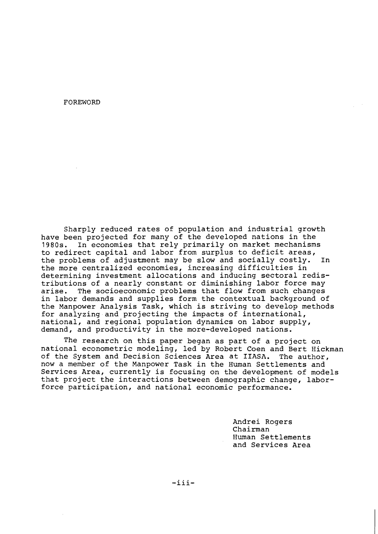FOREWORD

Sharply reduced rates of population and industrial growth have been projected for many of the developed nations in the 1980s. In economies that rely primarily on market mechanisms to redirect capital and labor from surplus to deficit areas,<br>the problems of adjustment may be slow and socially costly. In the problems of adjustment may be slow and socially costly. the more centralized economies, increasing difficulties in determining investment allocations and inducing sectoral redistributions of a nearly constant or diminishing labor force may arise. The socioeconomic problems that flow from such changes in labor demands and supplies form the contextual background of the Manpower Analysis Task, which is striving to develop methods for analyzing and projecting the impacts of international, national, and regional population dynamics on labor supply, demand, and productivity in the more-developed nations.

The research on this paper began as part of a project on national econometric modeling, led by Robert Coen and Bert Hickman of the System and Decision Sciences Area at IIASA. The author, now a member of the Manpower Task in the Human Settlements and Services Area, currently is focusing on the development of models that project the interactions between demographic change, laborforce participation, and national economic performance.

> Andrei Rogers Chairman Human Settlements and Services Area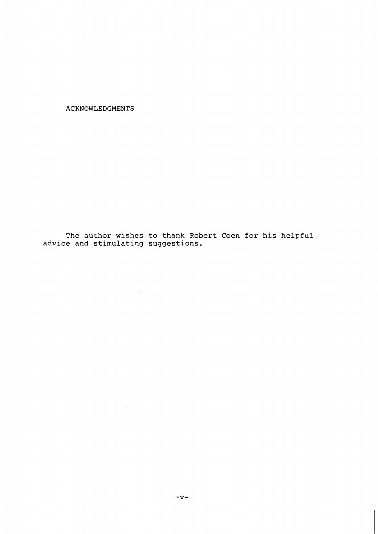**ACKNOWLEDGMENTS** 

**The author wishes to thank Robert Coen for his helpful advice and stimulating suggestions.** 

 $\sim 10^7$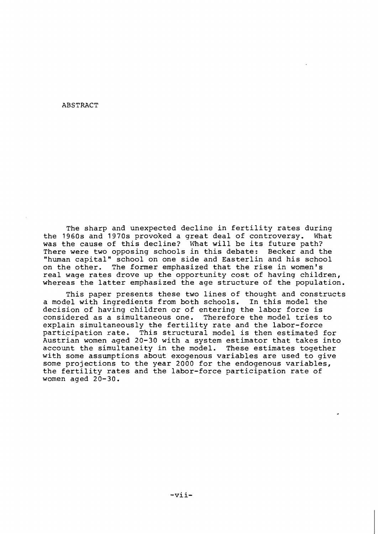### ABSTRACT

The sharp and unexpected decline in fertility rates during the 1960s and 1970s provoked a great deal of controversy. What was the cause of this decline? What will be its future path? There were two opposing schools in this debate: Becker and the "human capital" school on one side and Easterlin and his school on the other. The former emphasized that the rise in women's real wage rates drove up the opportunity cost of having children, whereas the latter emphasized the age structure of the population.

This paper presents these two lines of thought and constructs a model with ingredients from both schools. In this model the decision of having children or of entering the labor force is considered as a simultaneous one. Therefore the model tries to explain simultaneously the fertility rate and the labor-force participation rate. This structural model is then estimated for Austrian women aged 20-30 with a system estimator that takes into account the simultaneity in the model. These estimates together with some assumptions about exogenous variables are used to give some projections to the year 2000 for the endogenous variables, the fertility rates and the labor-force participation rate of women aged 20-30.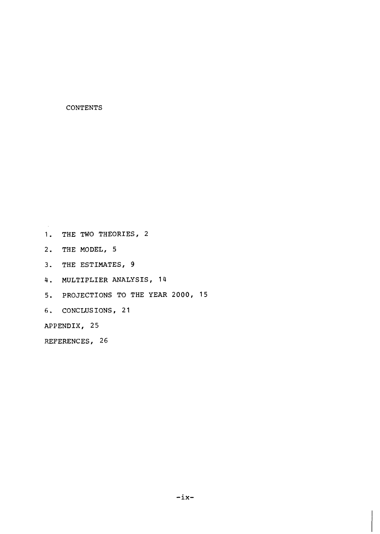# **CONTENTS**

**1. THE TWO THEORIES, 2** 

- **2. THE MODEL, 5**
- **3. THE ESTIMATES, 9**
- **4. MULTIPLIER ANALYSIS, 14**
- **5. PROJECTIONS TO THE YEAR 2000, 15**
- *6,* **CONCLUSIONS, 21**

**APPENDIX, 25** 

**REFERENCES I 26**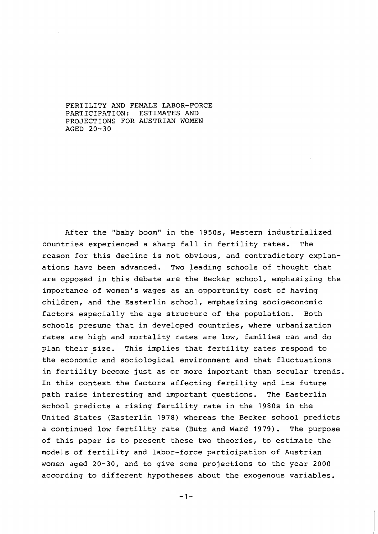FERTILITY AND FEMALE LABOR-FORCE PARTICIPATION: ESTIMATES AND PROJECTIONS FOR AUSTRIAN WOMEN AGED 20-30

After the "baby boom" in the 1950s, Western industrialized countries experienced a sharp fall in fertility rates. The reason for this decline is not obvious, and contradictory explanations have been advanced. Two leading schools of thought that are opposed in this debate are the Becker school, emphasizing the importance of women's wages as an opportunity cost of having children, and the Easterlin school, emphasizing socioeconomic factors especially the age structure of the population. Both schools presume that in developed countries, where urbanization rates are high and mortality rates are low, families can and do plan their size. This implies that fertility rates respond to the economic and sociological environment and that fluctuations in fertility become just as or more important than secular trends. In this context the factors affecting fertility and its future path raise interesting and important questions. The Easterlin school predicts a rising fertility rate in the 1980s in the United States (Easterlin 1978) whereas the Becker school predicts a continued low fertility rate (Butz and Ward 1979). The purpose of this paper is to present these two theories, to estimate the models of fertility and labor-force participation of Austrian women aged 20-30, and to give some projections to the year 2000 according to different hypotheses about the exogenous variables.

 $-1-$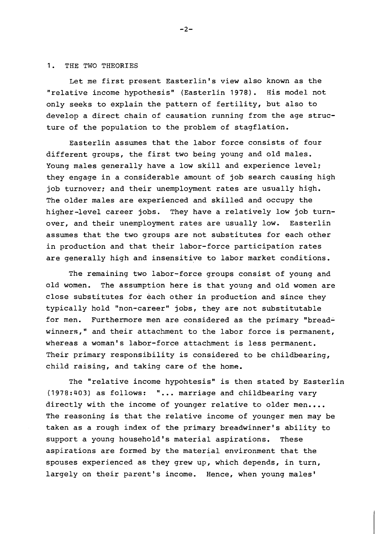### 1. THE TWO THEORIES

Let me first present Easterlin's view also known as the "relative income hypothesis" (Easterlin 1978). His model not only seeks to explain the pattern of fertility, but also to develop a direct chain of causation running from the age structure of the population to the problem of stagflation.

Easterlin assumes that the labor force consists of four different groups, the first two being young and old males. Young males generally have a low skill and experience level; they engage in a considerable amount of job search causing high job turnover; and their unemployment rates are usually high. The older males are experienced and skilled and occupy the higher-level career jobs. They have a relatively low job turnover, and their unemployment rates are usually low. Easterlin assumes that the two groups are not substitutes for each other in production and that their labor-force participation rates are generally high and insensitive to labor market conditions.

The remaining two labor-force groups consist of young and old women. The assumption here is that young and old women are close substitutes for each other in production and since they typically hold "non-career" jobs, they are not substitutable for men. Furthermore men are considered as the primary "breadwinners," and their attachment to the labor force is permanent, whereas a woman's labor-force attachment is less permanent. Their primary responsibility is considered to be childbearing, child raising, and taking care of the home.

The "relative income hypohtesis" is then stated by Easterlin (1978:403) as follows: " ... marriage and childbearing vary directly with the income of younger relative to older men.... The reasoning is that the relative income of younger men may be taken as a rough index of the primary breadwinner's ability to support a young household's material aspirations. These aspirations are formed by the material environment that the spouses experienced as they grew up, which depends, in turn, largely on their parent's income. Hence, when young males'

 $-2-$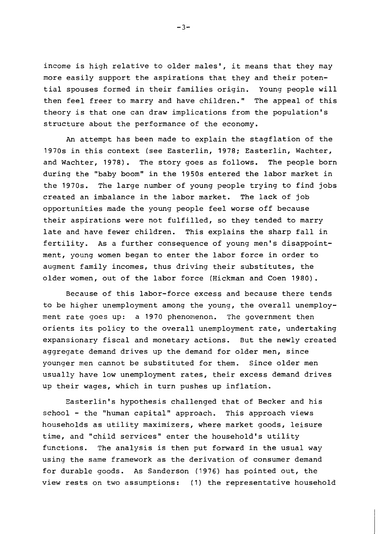income is high relative to older males', it means that they may more easily support the aspirations that they and their potential spouses formed in their families origin. Young people will then feel freer to marry and have children." The appeal of this theory is that one can draw implications from the population's structure about the performance of the economy.

An attempt has been made to explain the stagflation of the 1970s in this context (see Easterlin, 1978; Easterlin, Wachter, and Wachter, 1978). The story goes as follows. The people born during the "baby boom" in the 1950s entered the labor market in the 1970s. The large number of young people trying to find jobs created an imbalance in the labor market. The lack of job opportunities made the young people feel worse off because their aspirations were not fulfilled, so they tended to marry late and have fewer children. This explains the sharp fall in fertility. As a further consequence of young men's disappointment, young women began to enter the labor force in order to augment family incomes, thus driving their substitutes, the older women, out of the labor force (Hickman and Coen 1980).

Because of this labor-force excess and because there tends to be higher unemployment among the young, the overall unemployment rate goes up: a 1970 phenomenon. The government then orients its policy to the overall unemployment rate, undertaking expansionary fiscal and monetary actions. But the newly created aggregate demand drives up the demand for older men, since younger men cannot be substituted for them. Since older men usually have low unemployment rates, their excess demand drives up their wages, which in turn pushes up inflation.

Easterlin's hypothesis challenged that of Becker and his school - the "human capital" approach. This approach views households as utility maximizers, where market goods, leisure time, and "child services" enter the household's utility functions. The analysis is then put forward in the usual way using the same framework as the derivation of consumer demand for durable goods. As Sanderson (1976) has pointed out, the view rests on two assumptions: (1) the representative household

 $-3-$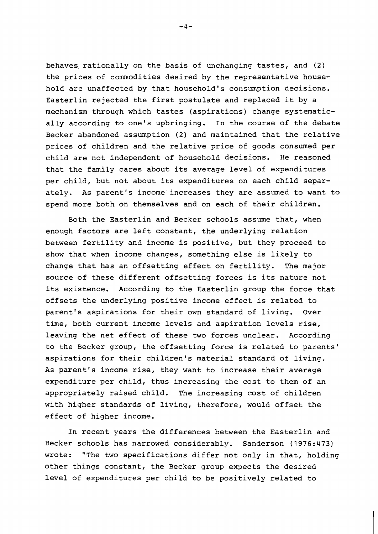behaves rationally on the basis of unchanging tastes, and **(2)**  the prices of commodities desired by the representative household are unaffected by that household's consumption decisions. Easterlin rejected the first postulate and replaced it by a mechanism through which tastes (aspirations) change systematically according to one's upbringing. In the course of the debate Becker abandoned assumption (2) and maintained that the relative prices of children and the relative price of goods consumed per child are not independent of household decisions. He reasoned that the family cares about its average level of expenditures per child, but not about its expenditures on each child separately. As parent's income increases they are assumed to want to spend more both on themselves and on each of their children.

Both the Easterlin and Becker schools assume that, when enough factors are left constant, the underlying relation between fertility and income is positive, but they proceed to show that when income changes, something else is likely to change that has an offsetting effect on fertility. The major source of these different offsetting forces is its nature not its existence. According to the Easterlin group the force that offsets the underlying positive income effect is related to parent's aspirations for their own standard of living. Over time, both current income levels and aspiration levels rise, leaving the net effect of these two forces unclear. According to the Becker group, the offsetting force is related to parents' aspirations for their children's material standard of living. As parent's income rise, they want to increase their average expenditure per child, thus increasing the cost to them of an appropriately raised child. The increasing cost of children with higher standards of living, therefore, would offset the effect of higher income.

In recent years the differences between the Easterlin and Becker schools has narrowed considerably. Sanderson (1976:473) wrote: "The two specifications differ not only in that, holding other things constant, the Becker group expects the desired level of expenditures per child to be positively related to

 $-4-$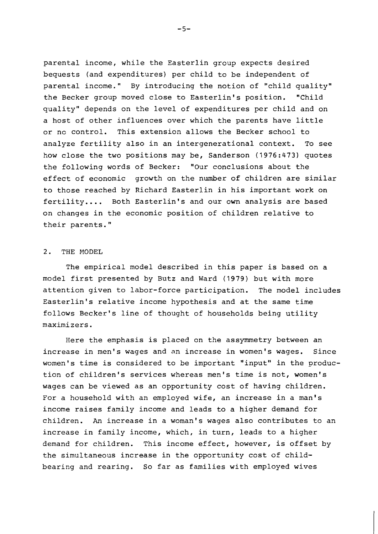parental income, while the Easterlin group expects desired bequests (and expenditures) per child to be independent of parental income." By introducing the notion of "child quality" the Becker group moved close to Easterlin's position. "Child quality" depends on the level of expenditures per child and on a host of other influences over which the parents have little or no control. This extension allows the Becker school' to analyze fertility also in an intergenerational context. To see how close the two positions may be, Sanderson (1976:473) quotes the following words of Becker: "Our conclusions about the effect of economic growth on the number of children are similar to those reached by Richard Easterlin in his important work on fertility.... Both Easterlin's and our own analysis are based on changes in the economic position of children relative to their parents."

## 2. THE MODEL

The empirical model described in this paper is based on a model first presented by Butz and Ward (1979) but with more attention given to labor-force participation. The model includes Easterlin's relative income hypothesis and at the same time follows Becker's line of thought of households being utility maximizers.

Here the emphasis is placed on the assymmetry between an increase in men's wages and an increase in women's wages. Since women's time is considered to be important "input" in the production of children's services whereas men's time is not, women's wages can be viewed as an opportunity cost of having children. For a household with an employed wife, an increase in a man's income raises family income and leads to a higher demand for children. An increase in a woman's wages also contributes to an increase in family income, which, in turn, leads to a higher demand for children. This income effect, however, is offset by the simultaneous increase in the opportunity cost of childbearing and rearing. So far as families with employed wives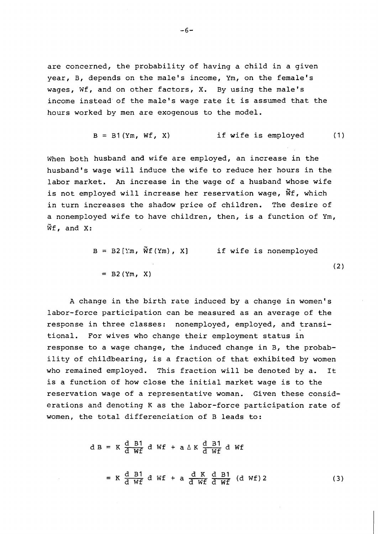are concerned, the probability of having a child in a given year, B, depends on the male's income, Ym, on the female's wages, Wf, and on other factors, X. By using the male's income instead of the male's wage rate it is assumed that the hours worked by men are exogenous to the model.

$$
B = B1(Ym, WF, X) \qquad \text{if wife is employed} \qquad (1)
$$

When both husband and wife are employed, an increase in the husband's wage will induce the wife to reduce her hours in the labor market. An increase in the wage of a husband whose wife is not employed will increase her reservation wage,  $\tilde{w}f$ , which in turn increases the shadow price of children. The desire of a nonemployed wife to have children, then, is a function of Ym,  $\widetilde{W}f$ , and X:

$$
B = B2[Ym, \ \widetilde{W}f(Ym), X] \qquad \text{if wife is nonemptyed}
$$
  
= B2(Ym, X) (2)

A change in the birth rate induced by a change in women's labor-force participation can be measured as an average of the response in three classes: nonemployed, employed, and transitional. For wives who change their employment status in response to a wage change, the induced change in B, the probability of childbearing, is a fraction of that exhibited by women who remained employed. This fraction will be denoted by a. It is a function of how close the initial market wage is to the reservation wage of a representative woman. Given these considerations and denoting K as the labor-force participation rate of women, the total differenciation of B leads to:

$$
dB = K \frac{d}{d} \frac{B1}{Wf} dWf + a \Delta K \frac{d}{d} \frac{B1}{Wf} dWf
$$
  
= K \frac{d}{d} \frac{B1}{Wf} dWf + a \frac{d}{d} \frac{K}{Wf} \frac{d}{d} \frac{B1}{Wf} (dWf) 2 (3)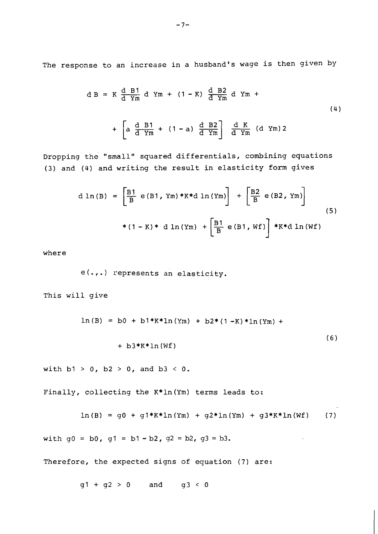The response to an increase in a husband's wage is then given by

$$
dB = K \frac{d}{d} \frac{B1}{Ym} d Ym + (1 - K) \frac{d}{d} \frac{B2}{Ym} d Ym +
$$
  
+ 
$$
\left[ a \frac{d}{d} \frac{B1}{Ym} + (1 - a) \frac{d}{d} \frac{B2}{Ym} \right] \frac{d}{d} \frac{K}{Ym} (d Ym) 2
$$
 (4)

Dropping the "small" squared differentials, combining equations (3) and (4) and writing the result in elasticity form gives

d ln(B) = 
$$
\left[\frac{B1}{B} e(B1, Ym) * K * d ln(Ym)\right] + \left[\frac{B2}{B} e(B2, Ym)\right]
$$
 (5)  
\* (1 – K) \* d ln(Ym) +  $\left[\frac{B1}{B} e(B1, wf)\right] * K * d ln(wf)$ 

where

e(.,.) represents an elasticity.

This will give

$$
\ln(B) = b0 + b1*K * \ln(Ym) + b2*(1 - K) * \ln(Ym) + b3*K * \ln(Wf)
$$
  
+ b3\*K \* \ln(Wf)  
with b1 > 0, b2 > 0, and b3 < 0.

Finally, collecting the K\*ln(Ym) terms leads to:

$$
\ln(B) = g0 + g1*K * \ln(Ym) + g2 * \ln(Ym) + g3*K * \ln(Wf)
$$
 (7)

with  $q0 = b0$ ,  $q1 = b1 - b2$ ,  $q2 = b2$ ,  $q3 = b3$ .

Therefore, the expected signs of equation (7) are:

 $g1 + g2 > 0$  and  $g3 < 0$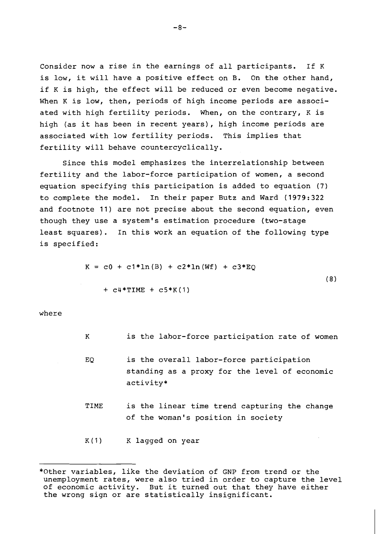Consider now a rise in the earnings of all participants. If K is low, it will have a positive effect on B. On the other hand, if K is high, the effect will be reduced or even become negative. When K is low, then, periods of high income periods are associated with high fertility periods. When, on the contrary, K is high (as it has been in recent years), high income periods are associated with low fertility periods. This implies that fertility will behave countercyclically.

Since this model emphasizes the interrelationship between fertility and the labor-force participation of women, a second equation specifying this participation is added to equation (7) to complete the model. In their paper Butz and Ward (1979:322 and footnote 11) are not precise about the second equation, even though they use a system's estimation procedure (two-stage least squares). In this work an equation of the following type is specified:

$$
K = c0 + c1*ln(B) + c2*ln(Wf) + c3*EQ
$$
  
+ c4\*TIME + c5\*K(1) (8)

where

- $K$ is the labor-force participation rate of women EQ is the overall labor-force participation standing as a proxy for the level of economic activity\*
- TIME is the linear time trend capturing the change of the woman's position in society

K(1) K lagged on year

<sup>\*</sup>Other variables, like the deviation of GNP from trend or the unemployment rates, were also tried in order to capture the level of economic activity. But it turned out that they have either the wrong sign or are statistically insignificant.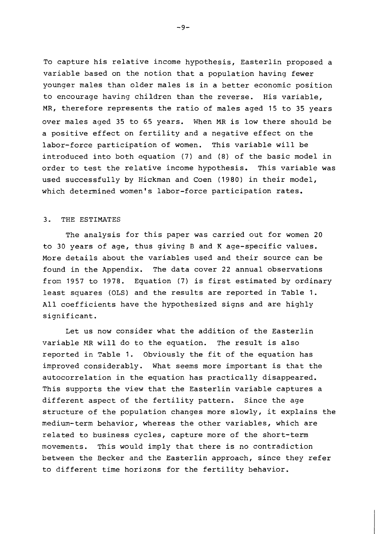To capture his relative income hypothesis, Easterlin proposed a variable based on the notion that a population having fewer younger males than older males is in a better economic position to encourage having children than the reverse. His variable, MR, therefore represents the ratio of males aged 15 to 35 years over males aged 35 to 65 years. When MR is low there should be a positive effect on fertility and a negative effect on the labor-force participation of women. This variable will be introduced into both equation (7) and (8) of the basic model in order to test the relative income hypothesis. This variable was used successfully by Hickman and Coen (1980) in their model, which determined women's labor-force participation rates.

## **3.** THE ESTIMATES

The analysis for this paper was carried out for women 20 to 30 years of age, thus giving B and K age-specific values. More details about the variables used and their source can be found in the Appendix. The data cover **22** annual observations from 1957 to 1978. Equation (7) is first estimated by ordinary least squares (OLS) and the results are reported in Table 1. All coefficients have the hypothesized signs and are highly significant.

Let us now consider what the addition of the Easterlin variable MR will do to the equation. The result is also reported in Table 1. Obviously the fit of the equation has improved considerably. What seems more important is that the autocorrelation in the equation has practically disappeared. This supports the view that the Easterlin variable captures a different aspect of the fertility pattern. Since the age structure of the population changes more slowly, it explains the medium-term behavior, whereas the other variables, which are related to business cycles, capture more of the short-term movements. This would imply that there is no contradiction between the Becker and the Easterlin approach, since they refer to different time horizons for the fertility behavior.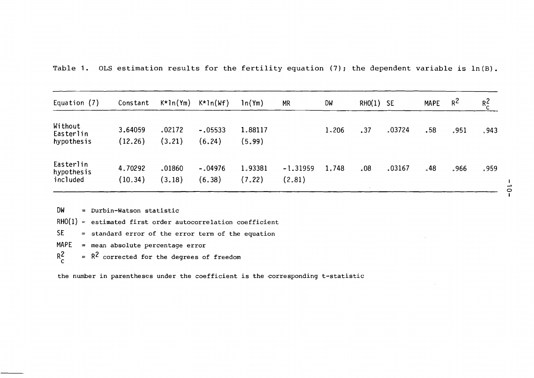| Equation (7)                        | Constant           | $K \star 1n(Ym)$ | $K*ln(Wf)$          | ln(Ym)            | <b>MR</b>            | DW    | RHO(1) | - SE   | <b>MAPE</b> | $R^2$ | $R_c^2$ |
|-------------------------------------|--------------------|------------------|---------------------|-------------------|----------------------|-------|--------|--------|-------------|-------|---------|
| Without<br>Easterlin<br>hypothesis  | 3.64059<br>(12.26) | .02172<br>(3.21) | $-.05533$<br>(6.24) | 1.88117<br>(5.99) |                      | 1,206 | .37    | .03724 | .58         | .951  | .943    |
| Easterlin<br>hypothesis<br>included | 4.70292<br>(10.34) | .01860<br>(3.18) | $-.04976$<br>(6.38) | 1.93381<br>(7.22) | $-1.31959$<br>(2.81) | 1.748 | .08    | .03167 | .48         | .966  | .959    |

**DW** = Durbin-Watson statistic

- $RHO(1)$  = estimated first order autocorrelation coefficient
- SE = standard error of the error term of the equation
- MAPE = mean absolute percentage error
- $= R<sup>2</sup>$  corrected for the degrees of freedom  $R_c^2$

the number in parentheses under the coefficient is the corresponding t-statistic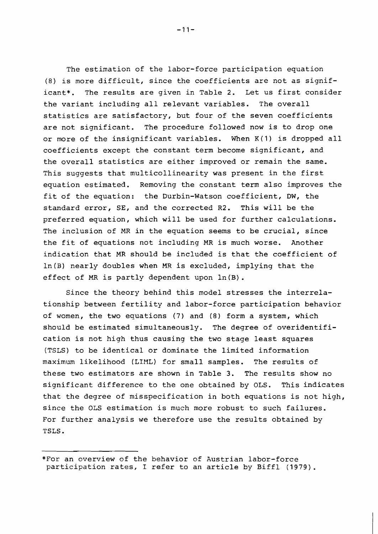The estimation of the labor-force participation equation (8) is more difficult, since the coefficients are not as significant\*. The results are given in Table 2. Let us first consider the variant including all relevant variables. The overall statistics are satisfactory, but four of the seven coefficients are not significant. The procedure followed now is to drop one or more of the insignificant variables. When K(1) is dropped all coefficients except the constant term become significant, and the overall statistics are either improved or remain the same. This suggests that multicollinearity was present in the first equation estimated. Removing the constant term also improves the fit of the equation: the Durbin-Watson coefficient, DW, the standard error, SE, and the corrected R2. This will be the preferred equation, which will be used for further calculations. The inclusion of MR in the equation seems to be crucial, since the fit of equations not including MR is much worse. Another indication that MR should be included is that the coefficient of  $ln(B)$  nearly doubles when MR is excluded, implying that the effect of MR is partly dependent upon ln(B).

Since the theory behind this model stresses the interrelationship between fertility and labor-force participation behavior of women, the two equations (7) and **(8)** form a system, which should be estimated simultaneously. The degree of overidentification is not high thus causing the two stage least squares (TSLS) to be identical or dominate the limited information maximum likelihood (LIllL) for small samples. The results of these two estimators are shown in Table 3. The results show no significant difference to the one obtained by OLS. This indicates that the degree of misspecification in both equations is not high, since the OLS estimation is much more robust to such failures. For further analysis we therefore use the results obtained by TSLS.

<sup>\*</sup>For an overview of the behavior of Austrian labor-force participation rates, I refer to an article by Biffl (1979).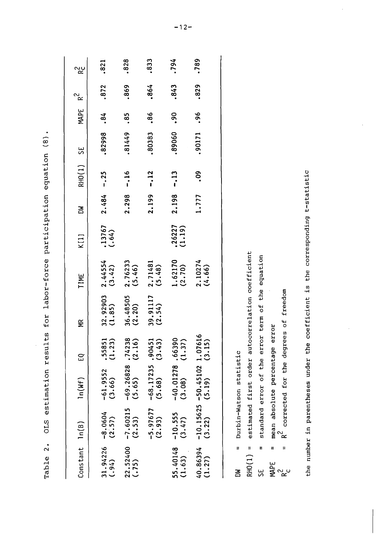| For labor-fortion participation and for<br>こくさつ セストリーム コセニュー |
|--------------------------------------------------------------|
| りょうりょ<br>アーシャー ドンスター・ドンド・ドラー                                 |
|                                                              |
| こし イラント<br>ム サー・ニ しくしょう                                      |
| estimation                                                   |
| I<br>I<br>ı                                                  |
|                                                              |
| ı<br>ı<br>Í<br>٢<br>֠                                        |

| Constant $ln(B)$   |                      | ln(Mf)                                   | E)                 | £                      | TIME                | K[1]                | ð     | RHO(1) SE      |        | MAPE $R^2$ |      | ಌೣಀ  |
|--------------------|----------------------|------------------------------------------|--------------------|------------------------|---------------------|---------------------|-------|----------------|--------|------------|------|------|
| 31.94226<br>(.94)  | $-8.0604$<br>(2.57)  | $-61.9552$<br>(3.66)                     | $.55851$<br>(1.23) | $32.92903$<br>(1.85)   | $2.44554$<br>(3.42) | $(13767$<br>$(.64)$ | 2.484 | $-.25$         | .82998 | .84        | .872 | .821 |
| 22.52400<br>(.75)  | $-7.60215$<br>(2.53) | $-69.26828$ .74238<br>(5.65) (2.16)      |                    | 36.48505<br>(2.20)     | $2.76233$<br>(5.46) |                     | 2.298 | $-16$          | .81449 | .85        | .869 | .828 |
|                    | $-5.97677$<br>(2.93) | $-68.17235.90451$<br>(5.68)              | (3.43)             | $39.91117$<br>$(2.54)$ | $2.71481$<br>(5.48) |                     | 2.199 | $-12$          | .80383 | .86        | .864 | .833 |
| 55.40148<br>(1.63) | $-10.555$<br>(3.47)  | $-40.01278$ .66390<br>(3.08) (1.37)      |                    |                        | $1.62170$<br>(2.70) | $.26227$<br>(1.19)  | 2.198 | $-13$          | .89060 | <b>90</b>  | .843 | .794 |
| 40.86394<br>(1.27) | (3.22)               | $-10.15625 - 50.45102$ 1.07616<br>(5.19) | (3.15)             |                        | $2.10274$<br>(4.66) |                     | 1.777 | 0 <sup>o</sup> | ,90171 | .96        | .829 | .789 |
|                    |                      |                                          |                    |                        |                     |                     |       |                |        |            |      |      |

Durbin-Watson statistic  $\mathbf{u}$  $\tilde{a}$ 

estimated first order autocorrelation coefficient  $RHO(1) =$  standard error of the error term of the equation  $\mathbf{u}$ 

= mean absolute percentage error<br>=  $R^2$  corrected for the degrees of freedom SE<br>M R 2<br>M R 20

the number in parentheses under the coefficient is the corresponding t-statistic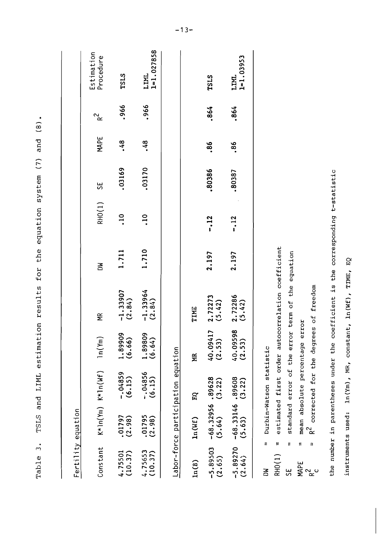|                      | Fertility equation                           |                         |                         |                                                   |       |                 |        |      |        |                         |
|----------------------|----------------------------------------------|-------------------------|-------------------------|---------------------------------------------------|-------|-----------------|--------|------|--------|-------------------------|
| Constant             |                                              | $K*ln(Yn)$ $K*ln(Wf)$   | ln(Ym)                  | $\widetilde{\mathbf{z}}$                          | 종     | RHO(1)          | 5S     | MAPE | 2<br>R | Estimation<br>Procedure |
| (10.37)<br>4.75501   | $.01797$<br>(2.98)                           | $-04859$<br>(6.15)      | 1.89909<br>(6.66)       | $-1.33907$<br>(2.84)                              | 1.711 | $\overline{10}$ | .03169 | .48  | ,966   | <b>TSLS</b>             |
| 4.75653<br>(10.37)   | $.01795$<br>(2.98)                           | $-04856$<br>(6.15)      | $1.89809$<br>(6.64)     | $-1.33964$<br>(2.84)                              | 1.710 | $\frac{10}{1}$  | .03170 | .48  | ,966   | $1 = 1.027858$<br>LIML  |
|                      | Labor-force participation equation           |                         |                         |                                                   |       |                 |        |      |        |                         |
| ln(B)                | ln(Wf)                                       | EQ                      | MR                      | TIME                                              |       |                 |        |      |        |                         |
| $-5.89503$<br>(2.65) | $-68.32956.89628$<br>(5.64) (3.22)           |                         | r<br>40.09417<br>(2.53) | $2.72273$<br>(5.42)                               | 2.197 | $-12$           | ,80386 | .86  | .864   | <b>TSLS</b>             |
| $-5.89270$<br>(2.64) | $-68.33146.89608$<br>(5.63) (3.22)<br>(5.63) |                         | $40.09598$<br>(2.53)    | $2.72286$<br>(5.42)                               | 2.197 | $-12$           | .80387 | .86  | .864   | $1 = 1.03953$<br>LIML   |
| RHO(1)<br>ŠΑ         | $\mathbf{H}$<br>$\mathbf{I}$                 | Durbin-Watson statistic |                         | estimated first order autocorrelation coefficient |       |                 |        |      |        |                         |

TSLS and LIML estimation results for the equation system (7) and (8).

Table 3.

the number in parentheses under the coefficient is the corresponding t-statistic

standard error of the error term of the equation

 $\frac{1}{2}$  $\mathbf{u}$  $\mathbf{u}$ 

5E

MAPE<br>R<sup>2</sup> c

 $R^2$  corrected for the degrees of freedom

mean absolute percentage error

instruments used:  $\ln(Ym)$ , MR, constant,  $\ln(Wf)$ , TIME, EQ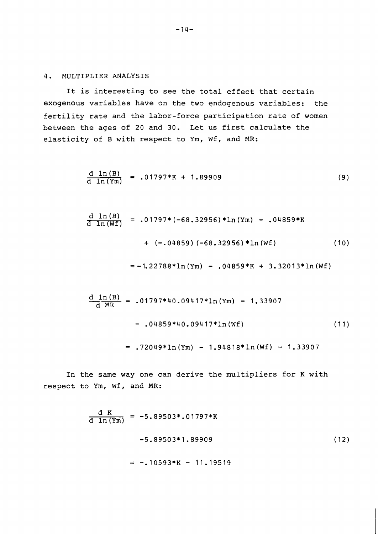## 4. MULTIPLIER ANALYSIS

It is interesting to see the total effect that certain exogenous variables have on the two endogenous variables: the fertility rate and the labor-force participation rate of women between the ages of 20 and 30. Let us first calculate the elasticity of B with respect to Ym, Wf, and MR:

$$
\frac{d \ln(B)}{d \ln(Ym)} = .01797*K + 1.89909
$$
\n(9)

$$
\frac{d \ln(B)}{d \ln(Wf)} = .01797*(-68.32956)*\ln(Ym) - .04859*K
$$
  
+ (-.04859)(-68.32956)\*\ln(Wf) (10)

$$
=-1.22788*ln(Ym) - .04859*K + 3.32013*ln(Wf)
$$

$$
\frac{d \ln(B)}{d \text{ MR}} = .01797*40.09417*ln(Ym) - 1.33907
$$
  
- .04859\*40.09417\*ln(Wf) (11)  
= .72049\*ln(Ym) - 1.94818\*ln(Wf) - 1.33907

In the same way one can derive the multipliers for K with respect to Ym, Wf, and MR:

$$
\frac{d K}{d \ln(Ym)} = -5.89503*.01797*K
$$
  
-5.89503\*1.89909  
= -.10593\*K - 11.19519 (12)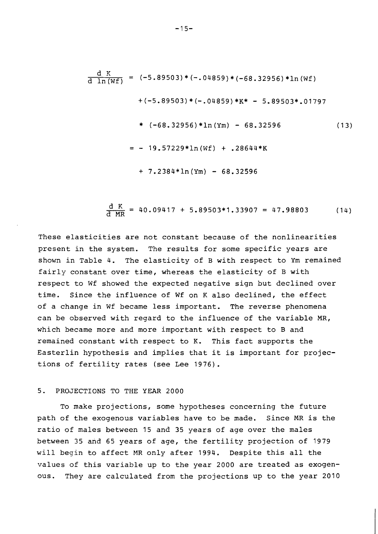$$
\frac{d K}{d \ln(Wf)} = (-5.89503) * (-.04859) * (-68.32956) * \ln(Wf)
$$
  
+ (-5.89503) \* (-.04859) \* K\* - 5.89503\*.01797  
\* (-68.32956) \* \ln(Ym) - 68.32596 (13)  
= - 19.57229 \* \ln(Wf) + .28644 \* K  
+ 7.2384 \* \ln(Ym) - 68.32596

$$
\frac{d K}{d MR} = 40.09417 + 5.89503*1.33907 = 47.98803
$$
 (14)

These elasticities are not constant because of the nonlinearities present in the system. The results for some specific years are shown in Table 4. The elasticity of B with respect to Ym remained fairly constant over time, whereas the elasticity of B with respect to Wf showed the expected negative sign but declined over time. Since the influence of Wf on K also declined, the effect of a change in Wf became less important. The reverse phenomena can be observed with regard to the influence of the variable MR, which became more and more important with respect to B and remained constant with respect to K. This fact supports the Easterlin hypothesis and implies that it is important for projections of fertility rates (see Lee 1976).

## 5. PROJECTIONS TO THE YEAR 2000

To make projections, some hypotheses concerning the future path of the exogenous variables have to be made. Since MR is the ratio of males between 15 and 35 years of age over the males between 35 and 65 years of age, the fertility projection of 1979 will begin to affect MR only after 1994. Despite this all the values of this variable up to the year 2000 are treated as exogenous. They are calculated from the projections up to the year 2010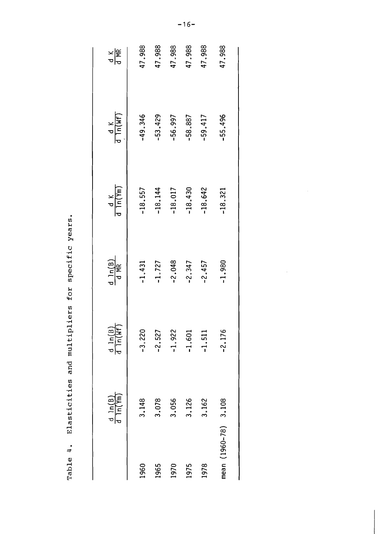| ֧֓֜֜<br>$\frac{1}{2}$                                                                   |
|-----------------------------------------------------------------------------------------|
| I<br>İ<br>ı<br>Í<br>ι<br>I                                                              |
| ì<br>I<br>:<br>י<br>)<br>I                                                              |
| Ì<br>ì<br>۱<br>۱<br>I<br>۱<br>I<br>I<br>֢֢ׅ֧֢ׅ֧֦֧֢ׅ֧֦֧ׅ֪֪֦֧֚֚֚֚֚֚֚֚֚֚֚֚֚֚֬֡֡֓֜֜֓֡֡<br>ł |
| ۱<br>$\ddot{\phantom{a}}$<br>ة<br>م                                                     |
| ֚֚֚֬<br>֧֚֝<br>ļ<br>l<br>I<br>$\overline{1}$<br>I<br>r<br>D<br>I                        |
|                                                                                         |
| $\overline{\phantom{a}}$<br>!<br>E<br>$\overline{\phantom{a}}$                          |

|                      | $\frac{d \ln(B)}{d \ln(\text{Ym})}$ | $\frac{d \ln(B)}{d \ln(W)}$ | $\frac{d \ln(B)}{d \text{ MR}}$ | $\frac{dK}{\ln(Ym)}$ | $\frac{d}{d \ln(Wf)}$ | 이 주<br>이 문 |
|----------------------|-------------------------------------|-----------------------------|---------------------------------|----------------------|-----------------------|------------|
| 1960                 | 3.148                               | $-3.220$                    | $-1.431$                        | $-18.557$            | $-49.346$             | 47.988     |
| 1965                 | 3.078                               | $-2.527$                    | $-1.727$                        | $-18.144$            | $-53.429$             | 47.988     |
| 1970                 | 3.056                               | $-1.922$                    | $-2.048$                        | $-18.017$            | $-56.997$             | 47.988     |
| 1975                 | 3.126                               | $-1.601$                    | $-2.347$                        | $-18.430$            | $-58.887$             | 47.988     |
| 1978                 | 3.162                               | $-1.511$                    | $-2.457$                        | $-18.642$            | $-59,417$             | 47,988     |
| mean (1960-78) 3.108 |                                     | $-2.176$                    | $-1.980$                        | $-18.321$            | $-55.496$             | 47.988     |
|                      |                                     |                             |                                 |                      |                       |            |

 $\hat{\boldsymbol{\beta}}$ 

 $-16-$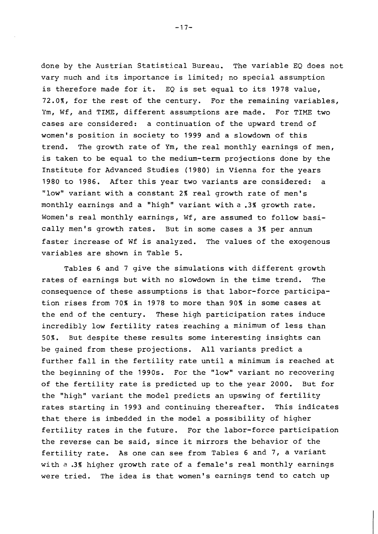done by the Austrian Statistical Bureau. The variable EQ does not vary much and its importance is limited; no special assumption is therefore made for it. EQ is set equal to its 1978 value, 72.O\$, for the rest of the century. For the remaining variables, Ym, Wf, and TIME, different assumptions are made. For TIME two cases are considered: a continuation of the upward trend of women's position in society to 1999 and a slowdown of this trend. The growth rate of Ym, the real monthly earnings of men, is taken to be equal to the medium-term projections done by the Institute for Advanced Studies (1980) in Vienna for the years 1980 to 1986. After this year two variants are considered: a "low" variant with a constant 2% real growth rate of men's monthly earnings and a "high" variant with a .3% growth rate. Women's real monthly earnings, Wf, are assumed to follow basically men's growth rates. But in some cases a **3%** per annum faster increase of Wf is analyzed. The values of the exogenous variables are shown in Table 5.

Tables 6 and 7 give the simulations with different growth rates of earnings but with no slowdown in the time trend. The consequence of these assumptions is that labor-force participation rises from 70% in 1978 to more than 90% in some cases at the end of the century. These high participation rates induce incredibly low fertility rates reaching a minimum of less than 50%. But despite these results some interesting insights can be gained from these projections. All variants predict a further fall in the fertility rate until a minimum is reached at the beginning of the 1990s. For the "low" variant no recovering of the fertility rate is predicted up to the year 2000. But for the "high" variant the model predicts an upswing of fertility rates starting in 1993 and continuing thereafter. This indicates that there is imbedded in the model a possibility of higher fertility rates in the future. For the labor-force participation the reverse can be said, since it mirrors the behavior of the fertility rate. As one can see from Tables 6 and 7, a variant with a .3% higher growth rate of a female's real monthly earnings were tried. The idea is that women's earnings tend to catch up

 $-17-$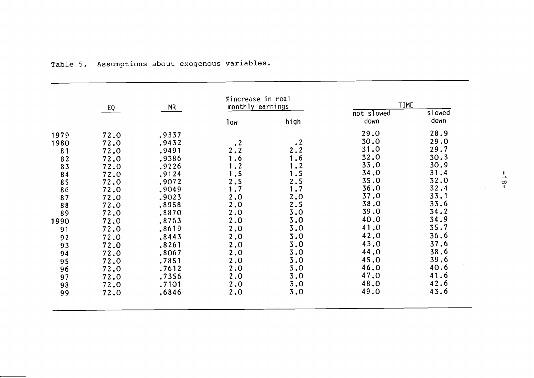|      | EQ   | <b>MR</b> | %increase in real<br>monthly earnings |                | <b>TIME</b> |        |
|------|------|-----------|---------------------------------------|----------------|-------------|--------|
|      |      |           |                                       |                | not slowed  | slowed |
|      |      |           | low                                   | high           | down        | down   |
| 1979 | 72.0 | .9337     |                                       |                | 29.0        | 28.9   |
| 1980 | 72.0 | .9432     | $\cdot$ 2                             | $\cdot$ 2      | 30.0        | 29.0   |
| 81   | 72.0 | .9491     | 2.2                                   | 2.2            | 31.0        | 29.7   |
| 82   | 72.0 | .9386     | .6                                    | $\cdot$ 6      | 32.0        | 30.3   |
| 83   | 72.0 | .9226     | $\cdot$ 2                             | $\overline{2}$ | 33.0        | 30.9   |
| 84   | 72.0 | .9124     | 1.5                                   | $\cdot$ 5      | 34.0        | 31.4   |
| 85   | 72.0 | .9072     | 2.5                                   | 2.5            | 35.0        | 32.0   |
| 86   | 72.0 | ,9049     | 1.7                                   | 1.7            | 36.0        | 32.4   |
| 87   | 72.0 | .9023     | 2.0                                   | 2.0            | 37.0        | 33.1   |
| 88   | 72.0 | .8958     | 2.0                                   | 2.5            | 38.0        | 33.6   |
| 89   | 72.0 | .8870     | 2.0                                   | 3.0            | 39.0        | 34.2   |
| 1990 | 72.0 | .8763     | 2.0                                   | 3.0            | 40.0        | 34.9   |
| 91   | 72.0 | .8619     | 2.0                                   | 3.0            | 41.0        | 35.7   |
| 92   | 72.0 | .8443     | 2.0                                   | 3.0            | 42.0        | 36.6   |
| 93   | 72.0 | .8261     | 2.0                                   | 3.0            | 43.0        | 37.6   |
| 94   | 72.0 | .8067     | 2.0                                   | 3.0            | 44.0        | 38.6   |
| 95   | 72.0 | .7851     | 2.0                                   | 3.0            | 45.0        | 39.6   |
| 96   | 72.0 | .7612     | 2.0                                   | 3.0            | 46.0        | 40.6   |
| 97   | 72.0 | .7356     | 2.0                                   | 3.0            | 47.0        | 41.6   |
| 98   | 72.0 | .7101     | 2.0                                   | 3.0            | 48.0        | 42.6   |
| 99   | 72.0 | .6846     | 2.0                                   | 3.0            | 49.0        | 43.6   |

Table 5. Assumptions about exogenous variables.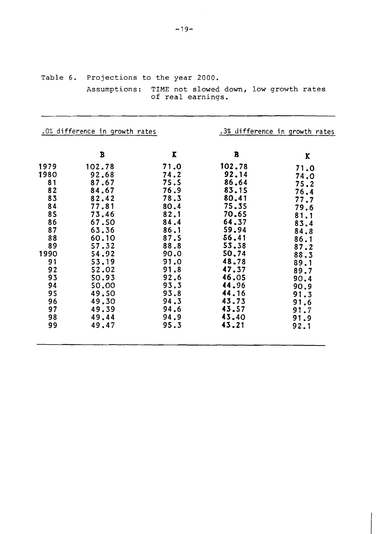| Table 6. Projections to the year 2000.                                   |  |
|--------------------------------------------------------------------------|--|
| Assumptions: TIME not slowed down, low growth rates<br>of real earnings. |  |

|      | .0% difference in growth rates |      |              | .3% difference in growth rates |
|------|--------------------------------|------|--------------|--------------------------------|
|      | B                              | K    | $\mathbf{B}$ | K                              |
| 1979 | 102.78                         | 71.0 | 102.78       | 71.0                           |
| 1980 | 92.68                          | 74.2 | 92.14        | 74.0                           |
| 81   | 87.67                          | 75.5 | 86.64        | 75.2                           |
| 82   | 84.67                          | 76.9 | 83.15        | 76.4                           |
| 83   | 82.42                          | 78.3 | 80.41        | 77.7                           |
| 84   | 77.81                          | 80.4 | 75.35        | 79.6                           |
| 85   | 73.46                          | 82.1 | 70.65        | 81.1                           |
| 86   | 67.50                          | 84.4 | 64.37        | 83.4                           |
| 87   | 63.36                          | 86.1 | 59.94        | 84.8                           |
| 88   | 60.10                          | 87.5 | 56.41        | 86.1                           |
| 89   | 57.32                          | 88.8 | 53.58        | 87.2                           |
| 1990 | 54.92                          | 90.0 | 50.74        | 88.3                           |
| 91   | 53.19                          | 91.0 | 48.78        | 89.1                           |
| 92   | 52.02                          | 91.8 | 47.37        | 89.7                           |
| 93   | 50.93                          | 92.6 | 46.05        | 90.4                           |
| 94   | 50,00                          | 93.3 | 44.96        | 90.9                           |
| 95   | 49.50                          | 93.8 | 44.16        | 91.3                           |
| 96   | 49.30                          | 94.3 | 43.73        | 91.6                           |
| 97   | 49.39                          | 94.6 | 43.57        | 91.7                           |
| 98   | 49.44                          | 94.9 | 43.40        | 91.9                           |
| 99   | 49.47                          | 95.3 | 43.21        | 92.1                           |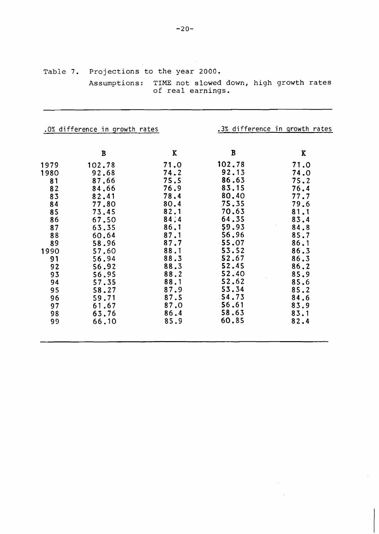|                                                                                                                                  | Assumptions:                                                                                                                                                                               | of real earnings.                                                                                                                                                    |                                                                                                                                                                                            | TIME not slowed down, high growth rates                                                                                                                              |
|----------------------------------------------------------------------------------------------------------------------------------|--------------------------------------------------------------------------------------------------------------------------------------------------------------------------------------------|----------------------------------------------------------------------------------------------------------------------------------------------------------------------|--------------------------------------------------------------------------------------------------------------------------------------------------------------------------------------------|----------------------------------------------------------------------------------------------------------------------------------------------------------------------|
|                                                                                                                                  | .0% difference in growth rates                                                                                                                                                             |                                                                                                                                                                      |                                                                                                                                                                                            | .3% difference in growth rates                                                                                                                                       |
|                                                                                                                                  | B                                                                                                                                                                                          | K                                                                                                                                                                    | B                                                                                                                                                                                          | K                                                                                                                                                                    |
| 1979<br>1980<br>81<br>82<br>83<br>84<br>85<br>86<br>87<br>88<br>89<br>1990<br>91<br>92<br>93<br>94<br>95<br>96<br>97<br>98<br>99 | 102.78<br>92.68<br>87.66<br>84.66<br>82.41<br>77.80<br>73.45<br>67.50<br>63.35<br>60.64<br>58.96<br>57.60<br>56.94<br>56.92<br>56.95<br>57.35<br>58.27<br>59.71<br>61.67<br>63.76<br>66.10 | 71.0<br>74.2<br>75.5<br>76.9<br>78.4<br>80.4<br>82.1<br>84:4<br>86.1<br>87.1<br>87.7<br>88.1<br>88.3<br>88.3<br>88.2<br>88.1<br>87.9<br>87.5<br>87.0<br>86.4<br>85.9 | 102.78<br>92.13<br>86.63<br>83.15<br>80.40<br>75.35<br>70.63<br>64.35<br>59.93<br>56.96<br>55.07<br>53.52<br>52.67<br>52.45<br>52.40<br>52.62<br>53.34<br>54.73<br>56.61<br>58.63<br>60.85 | 71.0<br>74.0<br>75.2<br>76.4<br>77.7<br>79.6<br>81.1<br>83.4<br>84.8<br>85.7<br>86.1<br>86.3<br>86.3<br>86.2<br>85.9<br>85.6<br>85.2<br>84.6<br>83.9<br>83.1<br>82.4 |

 $\hat{\mathcal{F}}$ 

 $\mathcal{L}^{\text{max}}_{\text{max}}$  and  $\mathcal{L}^{\text{max}}_{\text{max}}$  $\sim 10^{-1}$ 

**Table 7. Projections to the year 2000.** 

 $\sim 10^{11}$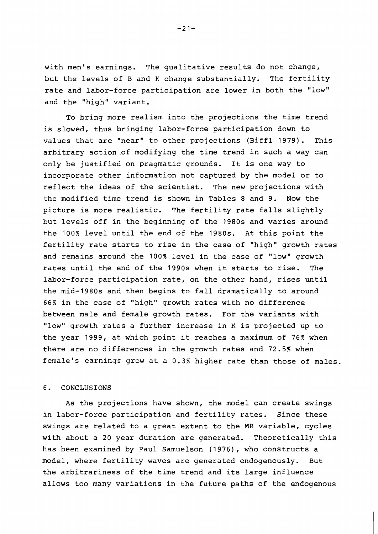with men's earnings. The qualitative results do not change, but the levels of B and K change substantially. The fertility rate and labor-force participation are lower in both the "low" and the "high" variant.

To bring more realism into the projections the time trend is slowed, thus bringing labor-force participation down to values that are "near" to other projections (Biffl 1979). This arbitrary action of modifying the time trend in such a way can only be justified on pragmatic grounds. It is one way to incorporate other information not captured by the model or to reflect the ideas of the scientist. The new projections with the modified time trend is shown in Tables 8 and 9. Now the picture is more realistic. The fertility rate falls slightly but levels off in the beginning of the 1980s and varies around the 100% level until the end of the 1980s. At this point the fertility rate starts to rise in the case of "high" growth rates and remains around the 100% level in the case of "low" growth rates until the end of the 1990s when it starts to rise. The labor-force participation rate, on the other hand, rises until the mid-1980s and then begins to fall dramatically to around 66% in the case of "high" growth rates with no difference between male and female growth rates. For the variants with "low" growth rates a further increase in K is projected up to the year 1999, at which point it reaches a maximum of 76% when there are no differences in the growth rates and 72.5% when female's earninqe grow at a 0.3% higher rate than those of males.

## 6. CONCLUSIONS

As the projections have shown, the model can create swings in labor-force participation and fertility rates. Since these swings are related to a great extent to the MR variable, cycles with about a 20 year duration are generated. Theoretically this has been examined by Paul Samuelson (1976), who constructs a model, where fertility waves are generated endogenously. But the arbitrariness of the time trend and its large influence allows too many variations in the future paths of the endogenous

 $-21-$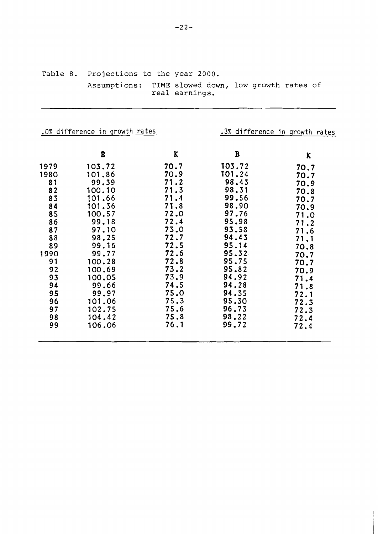|                                                                                                                                  | ASSUMPLIONS:                                                                                                                                                                                           | real earnings.                                                                                                                                                       | TIME STOWED GOWN, TOW GLOWEN LATES OF                                                                                                                                                       |                                                                                                                                                                      |
|----------------------------------------------------------------------------------------------------------------------------------|--------------------------------------------------------------------------------------------------------------------------------------------------------------------------------------------------------|----------------------------------------------------------------------------------------------------------------------------------------------------------------------|---------------------------------------------------------------------------------------------------------------------------------------------------------------------------------------------|----------------------------------------------------------------------------------------------------------------------------------------------------------------------|
|                                                                                                                                  | .0% difference in growth rates                                                                                                                                                                         |                                                                                                                                                                      |                                                                                                                                                                                             | .3% difference in growth rates                                                                                                                                       |
|                                                                                                                                  | B                                                                                                                                                                                                      | K                                                                                                                                                                    | $\, {\bf B}$                                                                                                                                                                                | K                                                                                                                                                                    |
| 1979<br>1980<br>81<br>82<br>83<br>84<br>85<br>86<br>87<br>88<br>89<br>1990<br>91<br>92<br>93<br>94<br>95<br>96<br>97<br>98<br>99 | 103.72<br>101.86<br>99.39<br>100.10<br>101.66<br>101.36<br>100.57<br>99.18<br>97.10<br>98.25<br>99.16<br>99.77<br>100.28<br>100.69<br>100.05<br>99.66<br>99.97<br>101.06<br>102.75<br>104.42<br>106.06 | 70.7<br>70.9<br>71.2<br>71.3<br>71.4<br>71.8<br>72.0<br>72.4<br>73.0<br>72.7<br>72.5<br>72.6<br>72.8<br>73.2<br>73.9<br>74.5<br>75.0<br>75.3<br>75.6<br>75.8<br>76.1 | 103.72<br>101.24<br>98.43<br>98.31<br>99.56<br>98.90<br>97.76<br>95.98<br>93.58<br>94.43<br>95.14<br>95.32<br>95.75<br>95.82<br>94.92<br>94.28<br>94.35<br>95.30<br>96.73<br>98.22<br>99.72 | 70.7<br>70.7<br>70.9<br>70.8<br>70.7<br>70.9<br>71.0<br>71.2<br>71.6<br>71.1<br>70.8<br>70.7<br>70.7<br>70.9<br>71.4<br>71.8<br>72.1<br>72.3<br>72.3<br>72.4<br>72.4 |

**Table 8. Projections to the year 2000. Assumptions: TIME slowed down, low growth rates of**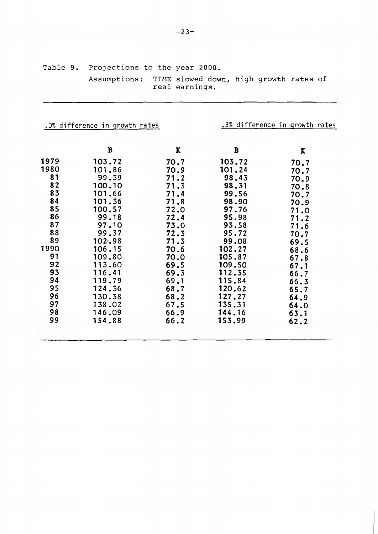|          | Assumptions:                   | real earnings. | TIME slowed down, high growth rates of |                                |
|----------|--------------------------------|----------------|----------------------------------------|--------------------------------|
|          | .0% difference in growth rates |                |                                        | .3% difference in growth rates |
|          | $\mathbf B$                    | K              | B                                      | K                              |
| 1979     | 103.72                         | 70.7           | 103.72                                 | 70.7                           |
| 1980     | 101.86                         | 70.9           | 101.24                                 | 70.7                           |
| 81       | 99.39                          | 71.2           | 98.43                                  | 70.9                           |
| 82       | 100,10                         | 71.3           | 98.31                                  | 70.8                           |
| 83       | 101.66                         | 71.4           | 99.56                                  | 70.7                           |
| 84       | 101.36                         | 71.8           | 98.90                                  | 70.9                           |
| 85       | 100.57                         | 72.0           | 97.76                                  | 71.0                           |
| 86       | 99.18                          | 72.4           | 95.98                                  | 71.2                           |
| 87<br>88 | 97.10                          | 73.0           | 93.58                                  | 71.6                           |
| 89       | 99.37<br>102.98                | 72.3<br>71.3   | 95.72<br>99.08                         | 70.7                           |
| 1990     | 106.15                         | 70.6           | 102.27                                 | 69.5                           |
| 91       | 109.80                         | 70.0           | 105.87                                 | 68.6                           |
| 92       | 113.60                         | 69.5           | 109.50                                 | 67.8<br>67.1                   |
| 93       | 116.41                         | 69.3           | 112.35                                 | 66.7                           |
| 94       | 119.79                         | 69.1           | 115.84                                 | 66.3                           |
| 95       | 124.36                         | 68.7           | 120.62                                 | 65.7                           |
| 96       | 130.38                         | 68.2           | 127.27                                 | 64.9                           |
| 97       | 138.02                         | 67.5           | 135.31                                 | 64.0                           |
| 98       | 146.09                         | 66.9           | 144.16                                 | 63.1                           |
| 99       | 154.88                         | 66.2           | 153.99                                 | 62.2                           |
|          |                                |                |                                        |                                |

Table 9. Projections to the year 2000.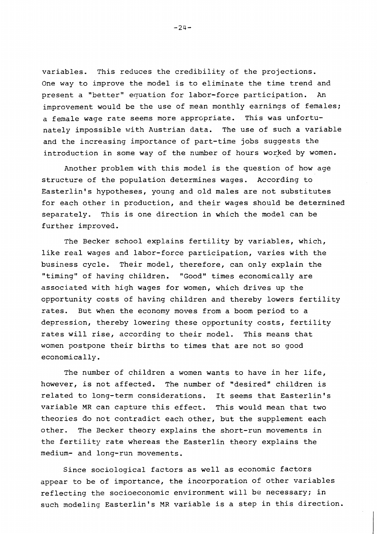variables. This reduces the credibility of the projections. One way to improve the model is to eliminate the time trend and present a "better" equation for labor-force participation. An improvement would be the use of mean monthly earnings of females; a female wage rate seems more appropriate. This was unfortunately impossible with Austrian data. The use of such a variable and the increasing importance of part-time jobs suggests the introduction in some way of the number of hours worked by women.

Another problem with this model is the question of how age structure of the population determines wages. According to Easterlin's hypotheses, young and old males are not substitutes for each other in production, and their wages should be determined separately. This is one direction in which the model can be further improved.

The Becker school explains fertility by variables, which, like real wages and labor-force participation, varies with the business cycle. Their model, therefore, can only explain the "timing" of having children. "Good" times economically are associated with high wages for women, which drives up the opportunity costs of having children and thereby lowers fertility rates. But when the economy moves from a boom period to a depression, thereby lowering these opportunity costs, fertility rates will rise, according to their model. This means that women postpone their births to times that are not so good economically.

The number of children a women wants to have in her life, however, is not affected. The number of "desired" children is related to long-term considerations. It seems that Easterlin's variable MR can capture this effect. This would mean that two theories do not contradict each other, but the supplement each other. The Becker theory explains the short-run movements in the fertility rate whereas the Easterlin theory explains the medium- and long-run movements.

Since sociological factors as well as economic factors appear to be of importance, the incorporation of other variables reflecting the socioeconomic environment will be necessary; in such modeling Easterlin's MR variable is a step in this direction.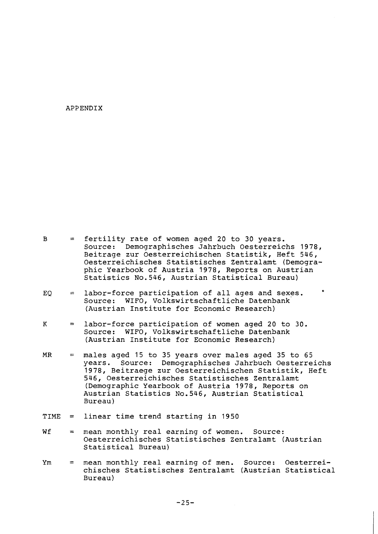### APPENDIX

| в | = fertility rate of women aged 20 to 30 years.       |
|---|------------------------------------------------------|
|   | Source: Demographisches Jahrbuch Oesterreichs 1978,  |
|   | Beitrage zur Oesterreichischen Statistik, Heft 546,  |
|   | Oesterreichisches Statistisches Zentralamt (Demogra- |
|   | phic Yearbook of Austria 1978, Reports on Austrian   |
|   | Statistics No.546, Austrian Statistical Bureau)      |

- $EQ =$  labor-force participation of all ages and sexes.<br>Source: WIFO, Volkswirtschaftliche Datenbank WIFO, Volkswirtschaftliche Datenbank (Austrian Institute for Economic Research)
- K = labor-force participation of women aged 20 to 30. Source: WIFO, Volkswirtschaftliche Datenbank (Austrian Institute for Economic Research)
- $MR$  = males aged 15 to 35 years over males aged 35 to 65 years. Source: Demographisches Jahrbuch Oesterreichs 1978, Beitraege zur Oesterreichischen Statistik, Heft 546, Oesterreichisches Statistisches Zentralamt (Demographic Yearbook of Austria 1978, Reports on Austrian Statistics No.546, Austrian Statistical Bureau)
- TIME = linear time trend starting in 1950
- $Wf$  = mean monthly real earning of women. Source: Oesterreichisches Statistisches Zentralamt (Austrian Statistical Bureau)
- Ym = mean monthly real earning of men. Source: Oesterreichisches Statistisches Zentralamt (Austrian Statistical Bureau)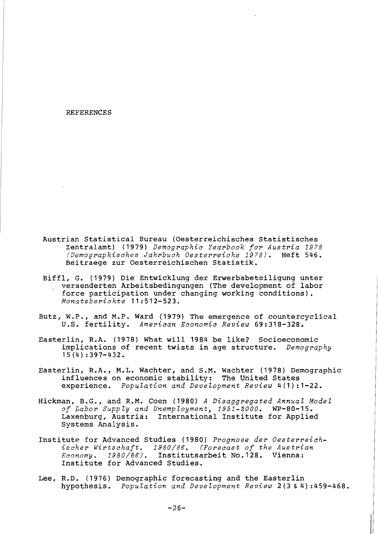#### REFERENCES

- Austrian Statistical Bureau (Oesterreichisches Statistisches Zentralamt) (1979) *Demographic Yearbook for Austria 1978 (Demographisches Jahrbuch Oesterreichs 1978).* Heft 546. Beitraege zur Oesterreichischen Statistik.
- Biffl, G. (1979) Die Entwicklung der Erwerbsbeteiligung unter veraenderten Arbeitsbedingungen (The development of labor force participation under changing working conditions). *Monatsberichte* 11:512-523.
- Butz, W.P., and M.P. Ward (1973) The emergence of countercyclical U.S. fertility. *American Economic Review* 69:318-328.
- Easterlin, R.A. (1978) What will 1984 be like? Socioeconomic implications of recent twists in age structure. *Demography*  15(4) :397-432.
- Easterlin, R.A., M.L. Wachter, and S.M. Wachter (1978) Demographic influences on economic stability: The United States experience. *Population and Development Review* 4(1):1-22.
- Hickman, B.G., and R.M. Coen (1980) A *Disaggregated Annual Model of Labor Supp Zy and UnempZoyment, 1951-2000.* WP-80-15. Laxenburg, Austria: International Institute for Applied Systems Analysis.
- Institute for Advanced Studies (1980) *Prognose der Oesterreichischer Wirtschaft. 1980/86. (Forecast of the Austrian Economy. 1980/86).* Institutsarbeit No.128. Vienna: Institute for Advanced Studies.
- Lee, R.D. (1976) Demographic forecasting and the Easterlin hypothesis. *Population and Development Review* 2 (3 & 4) :459-468.